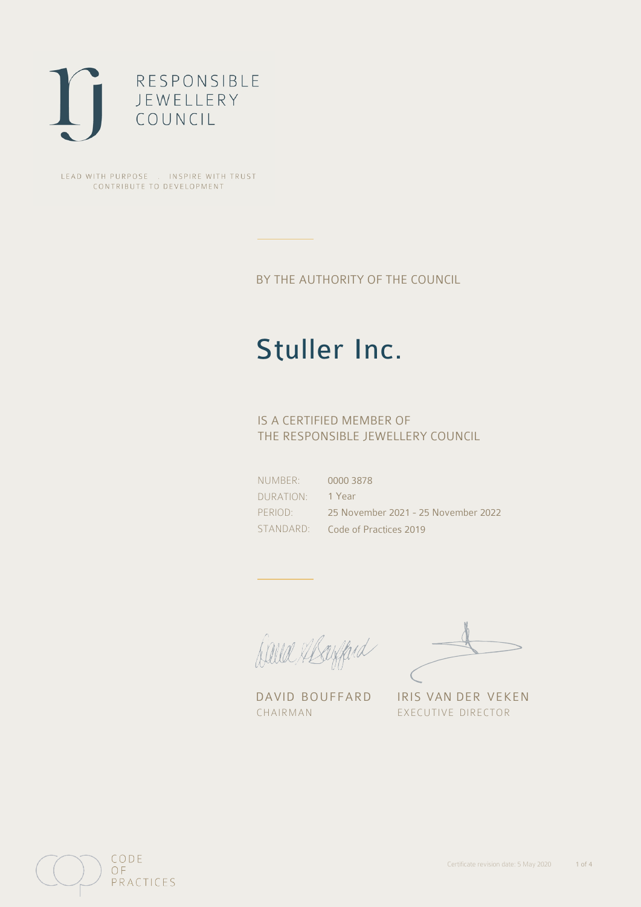

LEAD WITH PURPOSE . INSPIRE WITH TRUST CONTRIBUTE TO DEVELOPMENT

BY THE AUTHORITY OF THE COUNCIL

# Stuller Inc.

## IS A CERTIFIED MEMBER OF THE RESPONSIBLE JEWELLERY COUNCIL

NUMBER: DURATION: PERIOD: STANDARD: 0000 3878 1 Year 25 November 2021 - 25 November 2022 Code of Practices 2019

Caux Margaret

DAVID BOUFFARD IRIS VAN DER VEKEN CHAIRMAN EXECUTIVE DIRECTOR

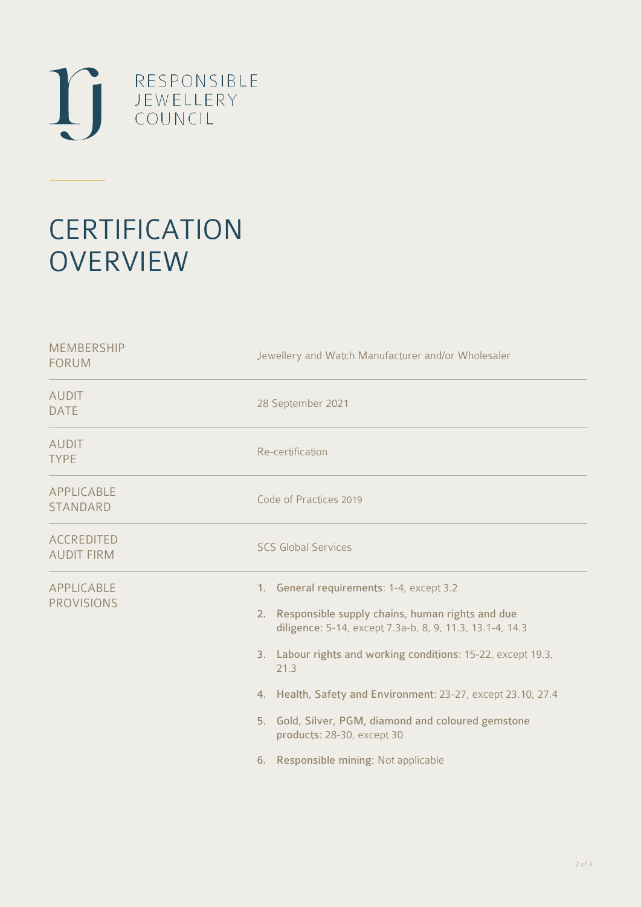

# **CERTIFICATION OVERVIEW**

| <b>MEMBERSHIP</b><br><b>FORUM</b>      | Jewellery and Watch Manufacturer and/or Wholesaler                                                                                                                                                                                                                                                                                                                                                                               |
|----------------------------------------|----------------------------------------------------------------------------------------------------------------------------------------------------------------------------------------------------------------------------------------------------------------------------------------------------------------------------------------------------------------------------------------------------------------------------------|
| <b>AUDIT</b><br><b>DATE</b>            | 28 September 2021                                                                                                                                                                                                                                                                                                                                                                                                                |
| <b>AUDIT</b><br><b>TYPE</b>            | Re-certification                                                                                                                                                                                                                                                                                                                                                                                                                 |
| APPLICABLE<br><b>STANDARD</b>          | Code of Practices 2019                                                                                                                                                                                                                                                                                                                                                                                                           |
| <b>ACCREDITED</b><br><b>AUDIT FIRM</b> | <b>SCS Global Services</b>                                                                                                                                                                                                                                                                                                                                                                                                       |
| <b>APPLICABLE</b><br><b>PROVISIONS</b> | 1. General requirements: 1-4, except 3.2<br>2. Responsible supply chains, human rights and due<br>diligence: 5-14, except 7.3a-b, 8, 9, 11.3, 13.1-4, 14.3<br>3. Labour rights and working conditions: 15-22, except 19.3,<br>21.3<br>4. Health, Safety and Environment: 23-27, except 23.10, 27.4<br>5. Gold, Silver, PGM, diamond and coloured gemstone<br>products: 28-30, except 30<br>6. Responsible mining: Not applicable |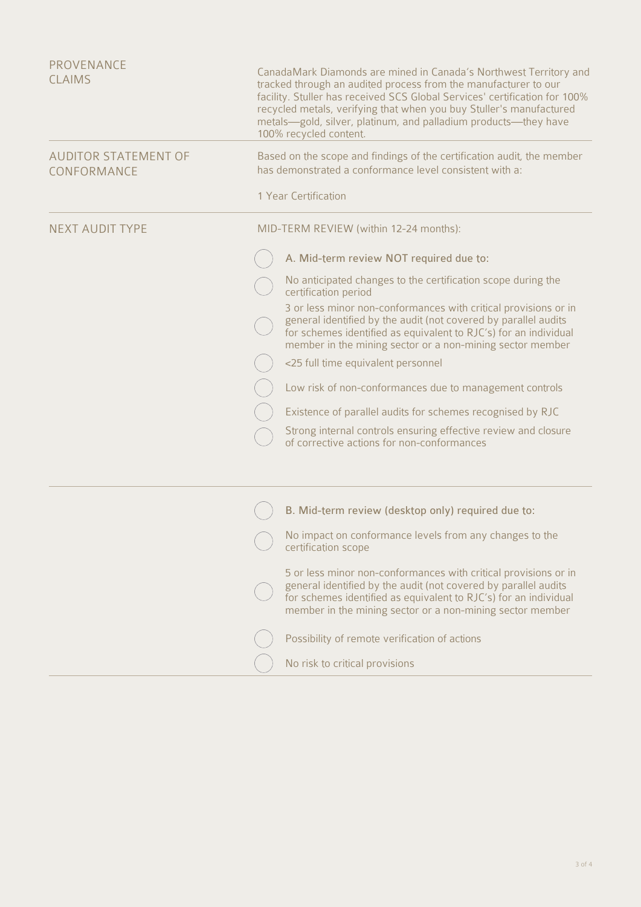| PROVENANCE<br><b>CLAIMS</b>                | CanadaMark Diamonds are mined in Canada's Northwest Territory and<br>tracked through an audited process from the manufacturer to our<br>facility. Stuller has received SCS Global Services' certification for 100%<br>recycled metals, verifying that when you buy Stuller's manufactured<br>metals-gold, silver, platinum, and palladium products-they have<br>100% recycled content. |
|--------------------------------------------|----------------------------------------------------------------------------------------------------------------------------------------------------------------------------------------------------------------------------------------------------------------------------------------------------------------------------------------------------------------------------------------|
| <b>AUDITOR STATEMENT OF</b><br>CONFORMANCE | Based on the scope and findings of the certification audit, the member<br>has demonstrated a conformance level consistent with a:                                                                                                                                                                                                                                                      |
|                                            | 1 Year Certification                                                                                                                                                                                                                                                                                                                                                                   |
| <b>NEXT AUDIT TYPE</b>                     | MID-TERM REVIEW (within 12-24 months):                                                                                                                                                                                                                                                                                                                                                 |
|                                            | A. Mid-term review NOT required due to:                                                                                                                                                                                                                                                                                                                                                |
|                                            | No anticipated changes to the certification scope during the<br>certification period                                                                                                                                                                                                                                                                                                   |
|                                            | 3 or less minor non-conformances with critical provisions or in<br>general identified by the audit (not covered by parallel audits<br>for schemes identified as equivalent to RJC's) for an individual<br>member in the mining sector or a non-mining sector member                                                                                                                    |
|                                            | <25 full time equivalent personnel                                                                                                                                                                                                                                                                                                                                                     |
|                                            | Low risk of non-conformances due to management controls                                                                                                                                                                                                                                                                                                                                |
|                                            | Existence of parallel audits for schemes recognised by RJC                                                                                                                                                                                                                                                                                                                             |
|                                            | Strong internal controls ensuring effective review and closure<br>of corrective actions for non-conformances                                                                                                                                                                                                                                                                           |
|                                            | B. Mid-term review (desktop only) required due to:                                                                                                                                                                                                                                                                                                                                     |
|                                            | No impact on conformance levels from any changes to the<br>certification scope                                                                                                                                                                                                                                                                                                         |
|                                            | 5 or less minor non-conformances with critical provisions or in<br>general identified by the audit (not covered by parallel audits<br>for schemes identified as equivalent to RJC's) for an individual<br>member in the mining sector or a non-mining sector member                                                                                                                    |
|                                            | Possibility of remote verification of actions                                                                                                                                                                                                                                                                                                                                          |
|                                            | No risk to critical provisions                                                                                                                                                                                                                                                                                                                                                         |